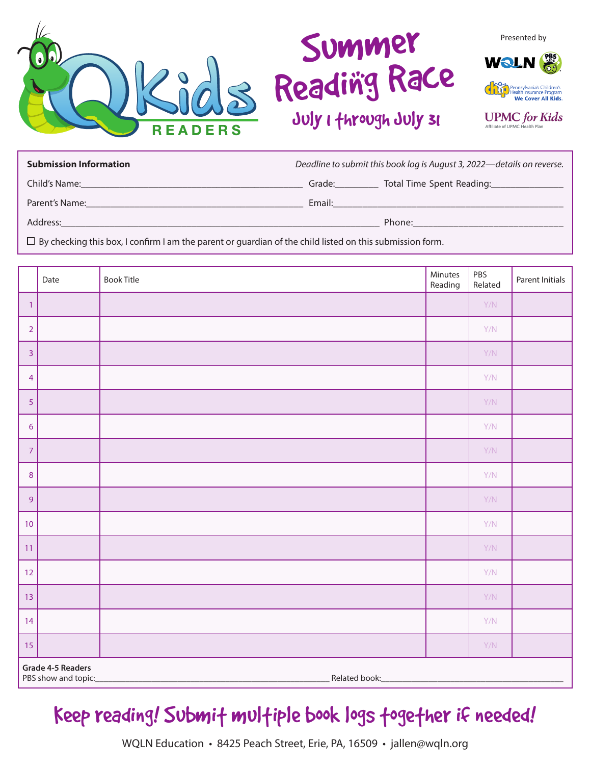

# Summer Reading Race July I through July 31



**UPMC** for Kids Affiliate of UPMC Health Plan

| <b>Submission Information</b> | Deadline to submit this book log is August 3, 2022-details on reverse. |                           |  |
|-------------------------------|------------------------------------------------------------------------|---------------------------|--|
| Child's Name:                 | Grade:                                                                 | Total Time Spent Reading: |  |
| Parent's Name:                | Email:                                                                 |                           |  |
| Address:                      |                                                                        | Phone:                    |  |

 $\square$  By checking this box, I confirm I am the parent or guardian of the child listed on this submission form.

|                                                           | Date | <b>Book Title</b> | Minutes<br>Reading | PBS<br>Related | Parent Initials |  |
|-----------------------------------------------------------|------|-------------------|--------------------|----------------|-----------------|--|
| $\mathbf{1}$                                              |      |                   |                    | Y/N            |                 |  |
| $\overline{2}$                                            |      |                   |                    | Y/N            |                 |  |
| $\overline{3}$                                            |      |                   |                    | Y/N            |                 |  |
| $\overline{4}$                                            |      |                   |                    | Y/N            |                 |  |
| 5                                                         |      |                   |                    | Y/N            |                 |  |
| 6                                                         |      |                   |                    | Y/N            |                 |  |
| $\overline{7}$                                            |      |                   |                    | Y/N            |                 |  |
| $\,8\,$                                                   |      |                   |                    | Y/N            |                 |  |
| $\overline{9}$                                            |      |                   |                    | Y/N            |                 |  |
| 10                                                        |      |                   |                    | Y/N            |                 |  |
| 11                                                        |      |                   |                    | Y/N            |                 |  |
| 12                                                        |      |                   |                    | Y/N            |                 |  |
| 13                                                        |      |                   |                    | Y/N            |                 |  |
| 14                                                        |      |                   |                    | Y/N            |                 |  |
| 15                                                        |      |                   |                    | Y/N            |                 |  |
| Grade 4-5 Readers<br>Related book:<br>PBS show and topic: |      |                   |                    |                |                 |  |

Keep reading! Submit multiple book logs together if needed!

WQLN Education • 8425 Peach Street, Erie, PA, 16509 • jallen@wqln.org